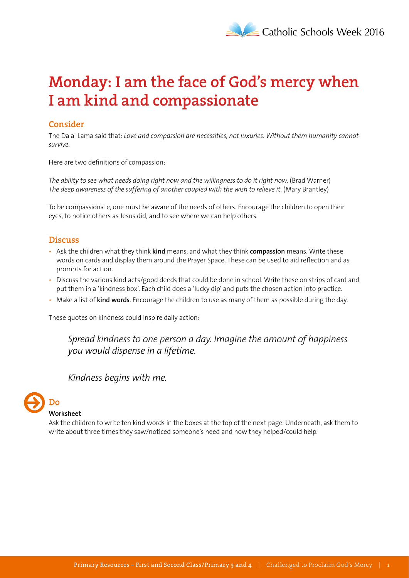# **Monday: I am the face of God's mercy when I am kind and compassionate**

## **Consider**

The Dalai Lama said that: *Love and compassion are necessities, not luxuries. Without them humanity cannot survive*.

Here are two definitions of compassion:

*The ability to see what needs doing right now and the willingness to do it right now*. (Brad Warner) *The deep awareness of the suffering of another coupled with the wish to relieve it*. (Mary Brantley)

To be compassionate, one must be aware of the needs of others. Encourage the children to open their eyes, to notice others as Jesus did, and to see where we can help others.

#### **Discuss**

- Ask the children what they think **kind** means, and what they think **compassion** means. Write these words on cards and display them around the Prayer Space. These can be used to aid reflection and as prompts for action.
- Discuss the various kind acts/good deeds that could be done in school. Write these on strips of card and put them in a 'kindness box'. Each child does a 'lucky dip' and puts the chosen action into practice.
- Make a list of **kind words**. Encourage the children to use as many of them as possible during the day.

These quotes on kindness could inspire daily action:

*Spread kindness to one person a day. Imagine the amount of happiness you would dispense in a lifetime.* 

#### *Kindness begins with me.*

# **Do**

#### **Worksheet**

Ask the children to write ten kind words in the boxes at the top of the next page. Underneath, ask them to write about three times they saw/noticed someone's need and how they helped/could help.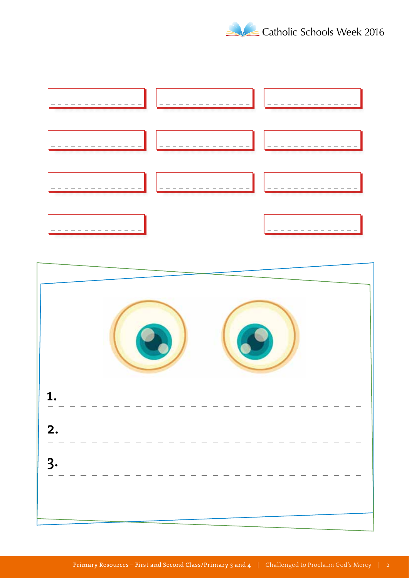



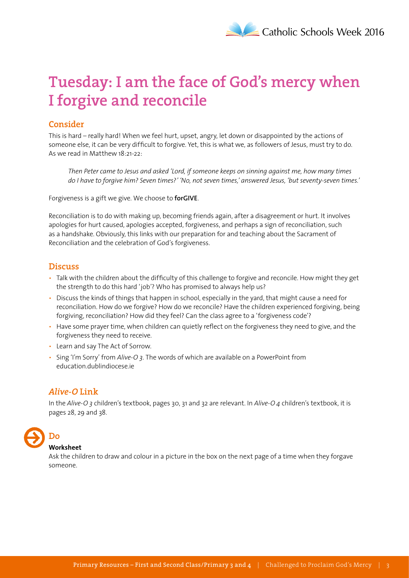# **Tuesday: I am the face of God's mercy when I forgive and reconcile**

# **Consider**

This is hard – really hard! When we feel hurt, upset, angry, let down or disappointed by the actions of someone else, it can be very difficult to forgive. Yet, this is what we, as followers of Jesus, must try to do. As we read in Matthew 18:21-22:

*Then Peter came to Jesus and asked 'Lord, if someone keeps on sinning against me, how many times do I have to forgive him? Seven times?' 'No, not seven times,' answered Jesus, 'but seventy-seven times.'*

Forgiveness is a gift we give. We choose to **forGIVE**.

Reconciliation is to do with making up, becoming friends again, after a disagreement or hurt. It involves apologies for hurt caused, apologies accepted, forgiveness, and perhaps a sign of reconciliation, such as a handshake. Obviously, this links with our preparation for and teaching about the Sacrament of Reconciliation and the celebration of God's forgiveness.

#### **Discuss**

- Talk with the children about the difficulty of this challenge to forgive and reconcile. How might they get the strength to do this hard 'job'? Who has promised to always help us?
- Discuss the kinds of things that happen in school, especially in the yard, that might cause a need for reconciliation. How do we forgive? How do we reconcile? Have the children experienced forgiving, being forgiving, reconciliation? How did they feel? Can the class agree to a 'forgiveness code'?
- Have some prayer time, when children can quietly reflect on the forgiveness they need to give, and the forgiveness they need to receive.
- Learn and say The Act of Sorrow.
- Sing 'I'm Sorry' from *Alive-O 3*. The words of which are available on a PowerPoint from education.dublindiocese.ie

# *Alive-O* **Link**

In the *Alive-O 3* children's textbook, pages 30, 31 and 32 are relevant. In *Alive-O 4* children's textbook, it is pages 28, 29 and 38.

# **Do**

#### **Worksheet**

Ask the children to draw and colour in a picture in the box on the next page of a time when they forgave someone.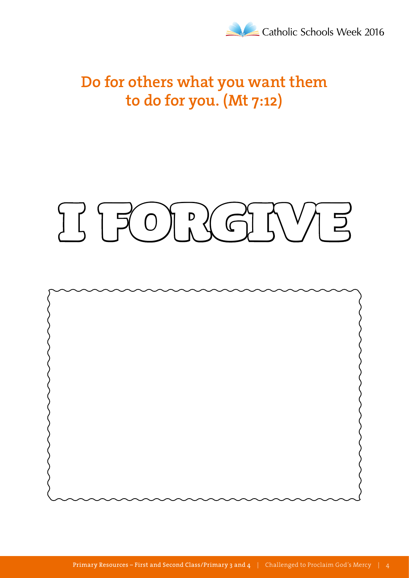

# **Do for others what you want them to do for you. (Mt 7:12)**

# I S I FOR RIGHT NA 3

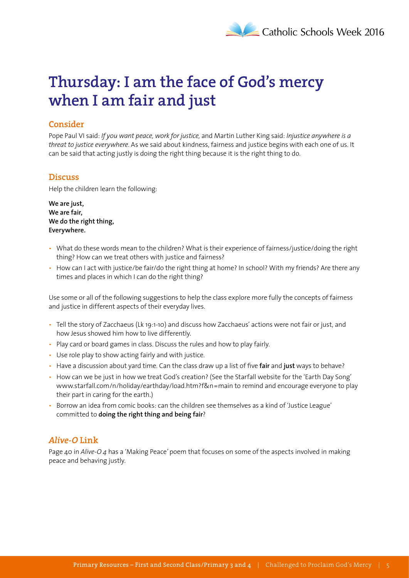# **Thursday: I am the face of God's mercy when I am fair and just**

# **Consider**

Pope Paul VI said: *If you want peace, work for justice,* and Martin Luther King said: *Injustice anywhere is a threat to justice everywhere*. As we said about kindness, fairness and justice begins with each one of us. It can be said that acting justly is doing the right thing because it is the right thing to do.

#### **Discuss**

Help the children learn the following:

**We are just, We are fair, We do the right thing, Everywhere.**

- What do these words mean to the children? What is their experience of fairness/justice/doing the right thing? How can we treat others with justice and fairness?
- How can I act with justice/be fair/do the right thing at home? In school? With my friends? Are there any times and places in which I can do the right thing?

Use some or all of the following suggestions to help the class explore more fully the concepts of fairness and justice in different aspects of their everyday lives.

- Tell the story of Zacchaeus (Lk 19:1-10) and discuss how Zacchaeus' actions were not fair or just, and how Jesus showed him how to live differently.
- Play card or board games in class. Discuss the rules and how to play fairly.
- Use role play to show acting fairly and with justice.
- Have a discussion about yard time. Can the class draw up a list of five **fair** and **just** ways to behave?
- How can we be just in how we treat God's creation? (See the Starfall website for the 'Earth Day Song' www.starfall.com/n/holiday/earthday/load.htm?f&n=main to remind and encourage everyone to play their part in caring for the earth.)
- Borrow an idea from comic books: can the children see themselves as a kind of 'Justice League' committed to **doing the right thing and being fair**?

# *Alive-O* **Link**

Page 40 in *Alive-O 4* has a 'Making Peace*'* poem that focuses on some of the aspects involved in making peace and behaving justly.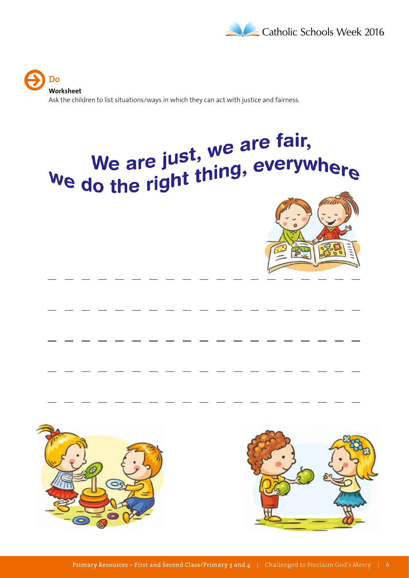

**Do Worksheet** Ask the children to list situations/ways in which they can act with justice and fairness.

# We are just, we are fair,<br>We do the right thing, everywhere





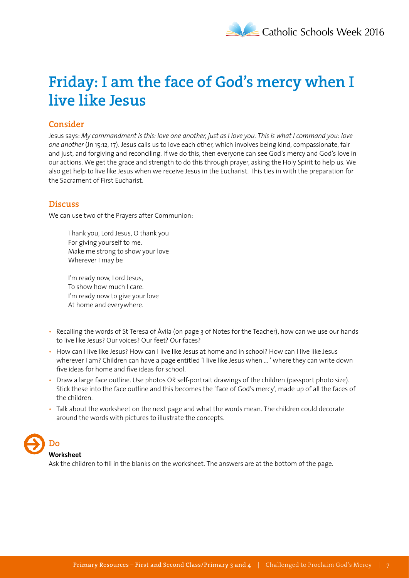# **Friday: I am the face of God's mercy when I live like Jesus**

## **Consider**

Jesus says: *My commandment is this: love one another, just as I love you. This is what I command you: love one another* (Jn 15:12, 17). Jesus calls us to love each other, which involves being kind, compassionate, fair and just, and forgiving and reconciling. If we do this, then everyone can see God's mercy and God's love in our actions. We get the grace and strength to do this through prayer, asking the Holy Spirit to help us. We also get help to live like Jesus when we receive Jesus in the Eucharist. This ties in with the preparation for the Sacrament of First Eucharist.

#### **Discuss**

We can use two of the Prayers after Communion:

Thank you, Lord Jesus, O thank you For giving yourself to me. Make me strong to show your love Wherever I may be

I'm ready now, Lord Jesus, To show how much I care. I'm ready now to give your love At home and everywhere.

- Recalling the words of St Teresa of Ávila (on page 3 of Notes for the Teacher), how can we use our hands to live like Jesus? Our voices? Our feet? Our faces?
- How can I live like Jesus? How can I live like Jesus at home and in school? How can I live like Jesus wherever I am? Children can have a page entitled 'I live like Jesus when … ' where they can write down five ideas for home and five ideas for school.
- Draw a large face outline. Use photos OR self-portrait drawings of the children (passport photo size). Stick these into the face outline and this becomes the 'face of God's mercy', made up of all the faces of the children.
- Talk about the worksheet on the next page and what the words mean. The children could decorate around the words with pictures to illustrate the concepts.



**Worksheet**

Ask the children to fill in the blanks on the worksheet. The answers are at the bottom of the page.